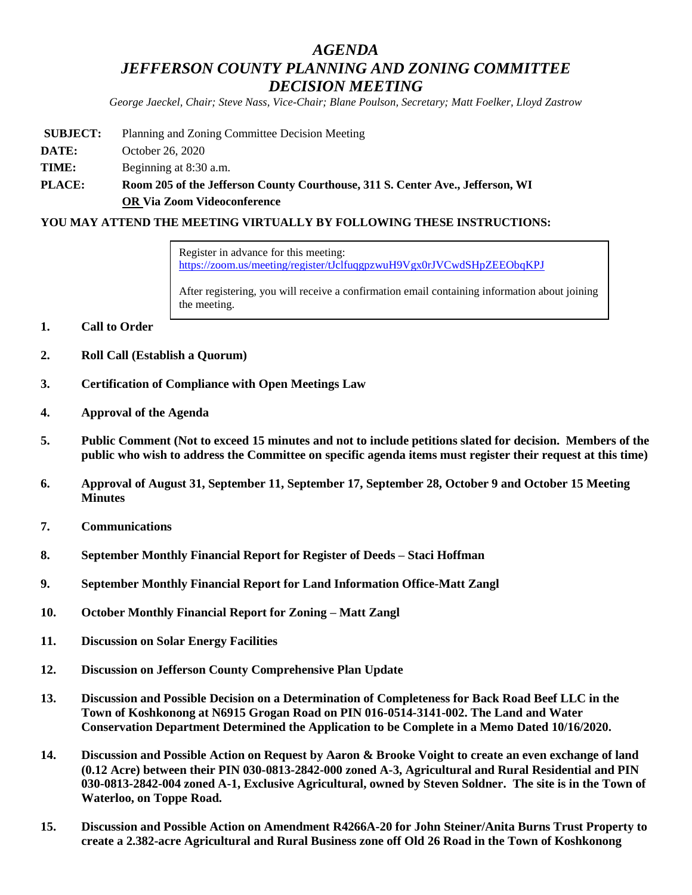# *AGENDA JEFFERSON COUNTY PLANNING AND ZONING COMMITTEE DECISION MEETING*

*George Jaeckel, Chair; Steve Nass, Vice-Chair; Blane Poulson, Secretary; Matt Foelker, Lloyd Zastrow*

- **SUBJECT:** Planning and Zoning Committee Decision Meeting
- **DATE:** October 26, 2020
- **TIME:** Beginning at 8:30 a.m.
- **PLACE: Room 205 of the Jefferson County Courthouse, 311 S. Center Ave., Jefferson, WI OR Via Zoom Videoconference**

#### **YOU MAY ATTEND THE MEETING VIRTUALLY BY FOLLOWING THESE INSTRUCTIONS:**

Register in advance for this meeting: <https://zoom.us/meeting/register/tJclfuqgpzwuH9Vgx0rJVCwdSHpZEEObqKPJ>

After registering, you will receive a confirmation email containing information about joining the meeting.

- **1. Call to Order**
- **2. Roll Call (Establish a Quorum)**
- **3. Certification of Compliance with Open Meetings Law**
- **4. Approval of the Agenda**
- **5. Public Comment (Not to exceed 15 minutes and not to include petitions slated for decision. Members of the public who wish to address the Committee on specific agenda items must register their request at this time)**
- **6. Approval of August 31, September 11, September 17, September 28, October 9 and October 15 Meeting Minutes**
- **7. Communications**
- **8. September Monthly Financial Report for Register of Deeds – Staci Hoffman**
- **9. September Monthly Financial Report for Land Information Office-Matt Zangl**
- **10. October Monthly Financial Report for Zoning – Matt Zangl**
- **11. Discussion on Solar Energy Facilities**
- **12. Discussion on Jefferson County Comprehensive Plan Update**
- **13. Discussion and Possible Decision on a Determination of Completeness for Back Road Beef LLC in the Town of Koshkonong at N6915 Grogan Road on PIN 016-0514-3141-002. The Land and Water Conservation Department Determined the Application to be Complete in a Memo Dated 10/16/2020.**
- **14. Discussion and Possible Action on Request by Aaron & Brooke Voight to create an even exchange of land (0.12 Acre) between their PIN 030-0813-2842-000 zoned A-3, Agricultural and Rural Residential and PIN 030-0813-2842-004 zoned A-1, Exclusive Agricultural, owned by Steven Soldner. The site is in the Town of Waterloo, on Toppe Road.**
- **15. Discussion and Possible Action on Amendment R4266A-20 for John Steiner/Anita Burns Trust Property to create a 2.382-acre Agricultural and Rural Business zone off Old 26 Road in the Town of Koshkonong**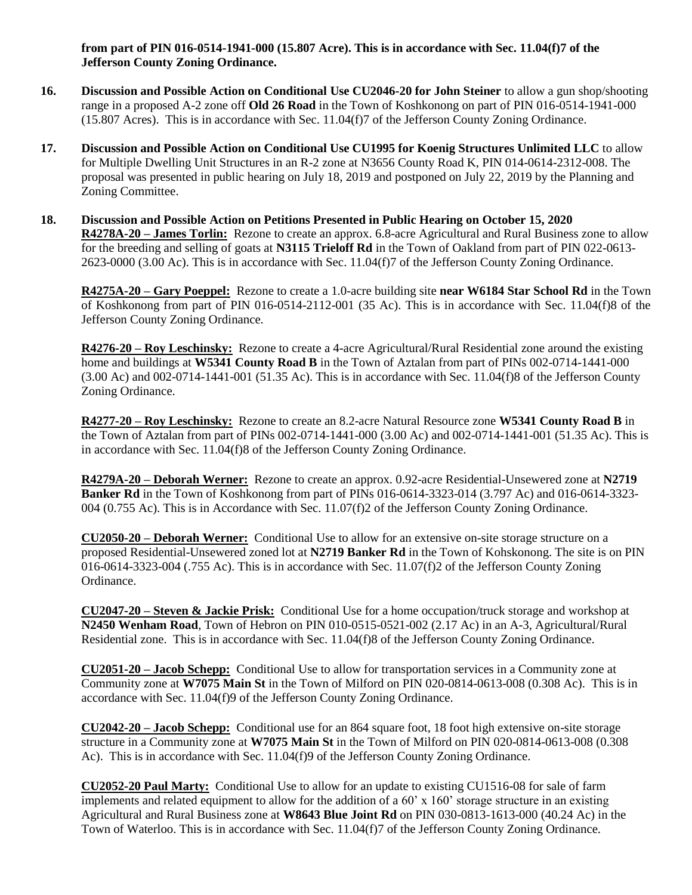**from part of PIN 016-0514-1941-000 (15.807 Acre). This is in accordance with Sec. 11.04(f)7 of the Jefferson County Zoning Ordinance.**

- **16. Discussion and Possible Action on Conditional Use CU2046-20 for John Steiner** to allow a gun shop/shooting range in a proposed A-2 zone off **Old 26 Road** in the Town of Koshkonong on part of PIN 016-0514-1941-000 (15.807 Acres). This is in accordance with Sec. 11.04(f)7 of the Jefferson County Zoning Ordinance.
- **17. Discussion and Possible Action on Conditional Use CU1995 for Koenig Structures Unlimited LLC** to allow for Multiple Dwelling Unit Structures in an R-2 zone at N3656 County Road K, PIN 014-0614-2312-008. The proposal was presented in public hearing on July 18, 2019 and postponed on July 22, 2019 by the Planning and Zoning Committee.
- **18. Discussion and Possible Action on Petitions Presented in Public Hearing on October 15, 2020 R4278A-20 – James Torlin:** Rezone to create an approx. 6.8-acre Agricultural and Rural Business zone to allow for the breeding and selling of goats at **N3115 Trieloff Rd** in the Town of Oakland from part of PIN 022-0613- 2623-0000 (3.00 Ac). This is in accordance with Sec. 11.04(f)7 of the Jefferson County Zoning Ordinance.

**R4275A-20 – Gary Poeppel:** Rezone to create a 1.0-acre building site **near W6184 Star School Rd** in the Town of Koshkonong from part of PIN 016-0514-2112-001 (35 Ac). This is in accordance with Sec. 11.04(f)8 of the Jefferson County Zoning Ordinance.

**R4276-20 – Roy Leschinsky:** Rezone to create a 4-acre Agricultural/Rural Residential zone around the existing home and buildings at **W5341 County Road B** in the Town of Aztalan from part of PINs 002-0714-1441-000  $(3.00 \text{ Ac})$  and  $002-0714-1441-001$   $(51.35 \text{ Ac})$ . This is in accordance with Sec. 11.04(f)8 of the Jefferson County Zoning Ordinance.

**R4277-20 – Roy Leschinsky:** Rezone to create an 8.2-acre Natural Resource zone **W5341 County Road B** in the Town of Aztalan from part of PINs 002-0714-1441-000 (3.00 Ac) and 002-0714-1441-001 (51.35 Ac). This is in accordance with Sec. 11.04(f)8 of the Jefferson County Zoning Ordinance.

**R4279A-20 – Deborah Werner:** Rezone to create an approx. 0.92-acre Residential-Unsewered zone at **N2719 Banker Rd** in the Town of Koshkonong from part of PINs 016-0614-3323-014 (3.797 Ac) and 016-0614-3323- 004 (0.755 Ac). This is in Accordance with Sec. 11.07(f)2 of the Jefferson County Zoning Ordinance.

**CU2050-20 – Deborah Werner:** Conditional Use to allow for an extensive on-site storage structure on a proposed Residential-Unsewered zoned lot at **N2719 Banker Rd** in the Town of Kohskonong. The site is on PIN 016-0614-3323-004 (.755 Ac). This is in accordance with Sec. 11.07(f)2 of the Jefferson County Zoning Ordinance.

**CU2047-20 – Steven & Jackie Prisk:** Conditional Use for a home occupation/truck storage and workshop at **N2450 Wenham Road**, Town of Hebron on PIN 010-0515-0521-002 (2.17 Ac) in an A-3, Agricultural/Rural Residential zone. This is in accordance with Sec. 11.04(f)8 of the Jefferson County Zoning Ordinance.

**CU2051-20 – Jacob Schepp:** Conditional Use to allow for transportation services in a Community zone at Community zone at **W7075 Main St** in the Town of Milford on PIN 020-0814-0613-008 (0.308 Ac). This is in accordance with Sec. 11.04(f)9 of the Jefferson County Zoning Ordinance.

**CU2042-20 – Jacob Schepp:** Conditional use for an 864 square foot, 18 foot high extensive on-site storage structure in a Community zone at **W7075 Main St** in the Town of Milford on PIN 020-0814-0613-008 (0.308 Ac). This is in accordance with Sec. 11.04(f)9 of the Jefferson County Zoning Ordinance.

**CU2052-20 Paul Marty:** Conditional Use to allow for an update to existing CU1516-08 for sale of farm implements and related equipment to allow for the addition of a  $60' \times 160'$  storage structure in an existing Agricultural and Rural Business zone at **W8643 Blue Joint Rd** on PIN 030-0813-1613-000 (40.24 Ac) in the Town of Waterloo. This is in accordance with Sec. 11.04(f)7 of the Jefferson County Zoning Ordinance.